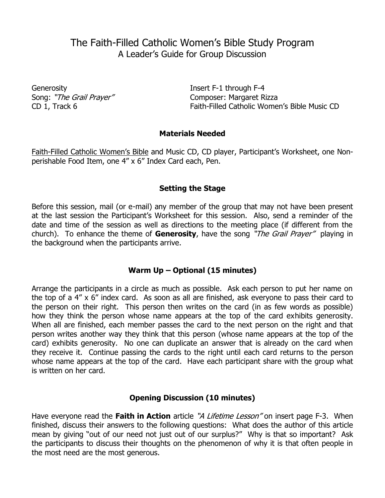# The Faith-Filled Catholic Women's Bible Study Program A Leader's Guide for Group Discussion

Generosity **Insert F-1 through F-4** 

Song: "The Grail Prayer" Composer: Margaret Rizza CD 1, Track 6 Faith-Filled Catholic Women's Bible Music CD

### **Materials Needed**

Faith-Filled Catholic Women's Bible and Music CD, CD player, Participant's Worksheet, one Nonperishable Food Item, one 4" x 6" Index Card each, Pen.

### **Setting the Stage**

Before this session, mail (or e-mail) any member of the group that may not have been present at the last session the Participant's Worksheet for this session. Also, send a reminder of the date and time of the session as well as directions to the meeting place (if different from the church). To enhance the theme of **Generosity**, have the song "The Grail Prayer" playing in the background when the participants arrive.

### **Warm Up – Optional (15 minutes)**

Arrange the participants in a circle as much as possible. Ask each person to put her name on the top of a 4" x 6" index card. As soon as all are finished, ask everyone to pass their card to the person on their right. This person then writes on the card (in as few words as possible) how they think the person whose name appears at the top of the card exhibits generosity. When all are finished, each member passes the card to the next person on the right and that person writes another way they think that this person (whose name appears at the top of the card) exhibits generosity. No one can duplicate an answer that is already on the card when they receive it. Continue passing the cards to the right until each card returns to the person whose name appears at the top of the card. Have each participant share with the group what is written on her card.

### **Opening Discussion (10 minutes)**

Have everyone read the Faith in Action article "A Lifetime Lesson" on insert page F-3. When finished, discuss their answers to the following questions: What does the author of this article mean by giving "out of our need not just out of our surplus?" Why is that so important? Ask the participants to discuss their thoughts on the phenomenon of why it is that often people in the most need are the most generous.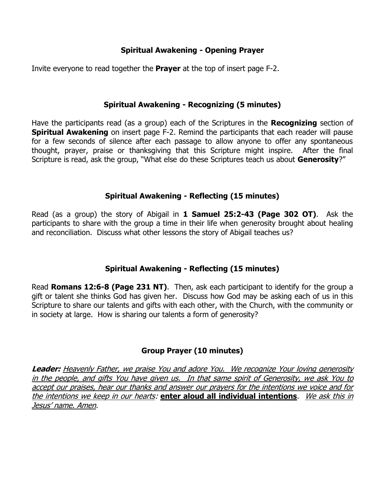## **Spiritual Awakening - Opening Prayer**

Invite everyone to read together the **Prayer** at the top of insert page F-2.

## **Spiritual Awakening - Recognizing (5 minutes)**

Have the participants read (as a group) each of the Scriptures in the **Recognizing** section of **Spiritual Awakening** on insert page F-2. Remind the participants that each reader will pause for a few seconds of silence after each passage to allow anyone to offer any spontaneous thought, prayer, praise or thanksgiving that this Scripture might inspire. After the final Scripture is read, ask the group, "What else do these Scriptures teach us about **Generosity**?"

## **Spiritual Awakening - Reflecting (15 minutes)**

Read (as a group) the story of Abigail in **1 Samuel 25:2-43 (Page 302 OT)**. Ask the participants to share with the group a time in their life when generosity brought about healing and reconciliation. Discuss what other lessons the story of Abigail teaches us?

# **Spiritual Awakening - Reflecting (15 minutes)**

Read **Romans 12:6-8 (Page 231 NT)**. Then, ask each participant to identify for the group a gift or talent she thinks God has given her. Discuss how God may be asking each of us in this Scripture to share our talents and gifts with each other, with the Church, with the community or in society at large. How is sharing our talents a form of generosity?

# **Group Prayer (10 minutes)**

**Leader:** Heavenly Father, we praise You and adore You. We recognize Your loving generosity in the people, and gifts You have given us. In that same spirit of Generosity, we ask You to accept our praises, hear our thanks and answer our prayers for the intentions we voice and for the intentions we keep in our hearts: **enter aloud all individual intentions**. We ask this in Jesus' name. Amen.